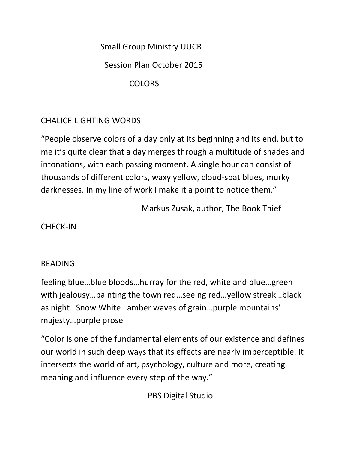Small Group Ministry UUCR

Session Plan October 2015

COLORS

## CHALICE LIGHTING WORDS

"People observe colors of a day only at its beginning and its end, but to me it's quite clear that a day merges through a multitude of shades and intonations, with each passing moment. A single hour can consist of thousands of different colors, waxy yellow, cloud-spat blues, murky darknesses. In my line of work I make it a point to notice them."

Markus Zusak, author, The Book Thief

CHECK-IN

## READING

feeling blue…blue bloods…hurray for the red, white and blue…green with jealousy…painting the town red…seeing red…yellow streak…black as night…Snow White…amber waves of grain…purple mountains' majesty…purple prose

"Color is one of the fundamental elements of our existence and defines our world in such deep ways that its effects are nearly imperceptible. It intersects the world of art, psychology, culture and more, creating meaning and influence every step of the way."

PBS Digital Studio